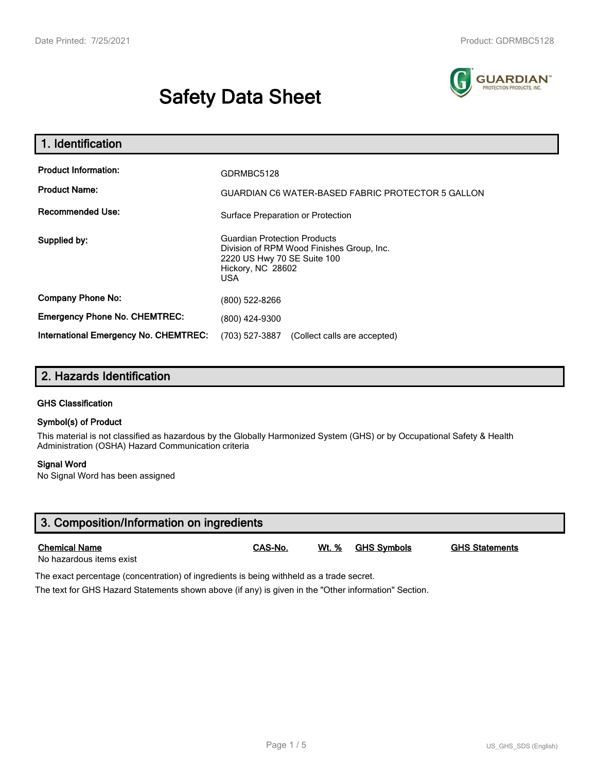# **Safety Data Sheet**



| 1. Identification                                                              |                                                                                                                                                    |  |  |
|--------------------------------------------------------------------------------|----------------------------------------------------------------------------------------------------------------------------------------------------|--|--|
| <b>Product Information:</b><br><b>Product Name:</b><br><b>Recommended Use:</b> | GDRMBC5128<br>GUARDIAN C6 WATER-BASED FABRIC PROTECTOR 5 GALLON<br>Surface Preparation or Protection                                               |  |  |
| Supplied by:                                                                   | <b>Guardian Protection Products</b><br>Division of RPM Wood Finishes Group, Inc.<br>2220 US Hwy 70 SE Suite 100<br>Hickory, NC 28602<br><b>USA</b> |  |  |
| <b>Company Phone No:</b><br><b>Emergency Phone No. CHEMTREC:</b>               | (800) 522-8266<br>(800) 424-9300                                                                                                                   |  |  |
| International Emergency No. CHEMTREC:                                          | (703) 527-3887<br>(Collect calls are accepted)                                                                                                     |  |  |

## **2. Hazards Identification**

#### **GHS Classification**

#### **Symbol(s) of Product**

This material is not classified as hazardous by the Globally Harmonized System (GHS) or by Occupational Safety & Health Administration (OSHA) Hazard Communication criteria

#### **Signal Word**

No Signal Word has been assigned

| 3. Composition/Information on ingredients        |         |              |                    |                       |  |
|--------------------------------------------------|---------|--------------|--------------------|-----------------------|--|
| <b>Chemical Name</b><br>No hazardous items exist | CAS-No. | <u>Wt. %</u> | <u>GHS Symbols</u> | <b>GHS Statements</b> |  |

The exact percentage (concentration) of ingredients is being withheld as a trade secret.

The text for GHS Hazard Statements shown above (if any) is given in the "Other information" Section.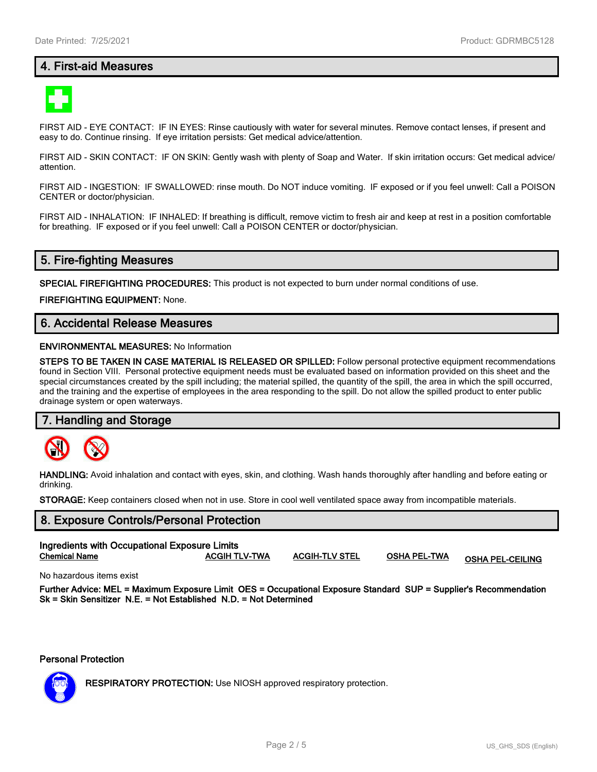## **4. First-aid Measures**



FIRST AID - EYE CONTACT: IF IN EYES: Rinse cautiously with water for several minutes. Remove contact lenses, if present and easy to do. Continue rinsing. If eye irritation persists: Get medical advice/attention.

FIRST AID - SKIN CONTACT: IF ON SKIN: Gently wash with plenty of Soap and Water. If skin irritation occurs: Get medical advice/ attention.

FIRST AID - INGESTION: IF SWALLOWED: rinse mouth. Do NOT induce vomiting. IF exposed or if you feel unwell: Call a POISON CENTER or doctor/physician.

FIRST AID - INHALATION: IF INHALED: If breathing is difficult, remove victim to fresh air and keep at rest in a position comfortable for breathing. IF exposed or if you feel unwell: Call a POISON CENTER or doctor/physician.

## **5. Fire-fighting Measures**

**SPECIAL FIREFIGHTING PROCEDURES:** This product is not expected to burn under normal conditions of use.

**FIREFIGHTING EQUIPMENT:** None.

## **6. Accidental Release Measures**

#### **ENVIRONMENTAL MEASURES:** No Information

**STEPS TO BE TAKEN IN CASE MATERIAL IS RELEASED OR SPILLED:** Follow personal protective equipment recommendations found in Section VIII. Personal protective equipment needs must be evaluated based on information provided on this sheet and the special circumstances created by the spill including; the material spilled, the quantity of the spill, the area in which the spill occurred, and the training and the expertise of employees in the area responding to the spill. Do not allow the spilled product to enter public drainage system or open waterways.

#### **7. Handling and Storage**



**HANDLING:** Avoid inhalation and contact with eyes, skin, and clothing. Wash hands thoroughly after handling and before eating or drinking.

**STORAGE:** Keep containers closed when not in use. Store in cool well ventilated space away from incompatible materials.

## **8. Exposure Controls/Personal Protection Ingredients with Occupational Exposure Limits Chemical Name ACGIH TLV-TWA ACGIH-TLV STEL OSHA PEL-TWA OSHA PEL-CEILING**

No hazardous items exist

**Further Advice: MEL = Maximum Exposure Limit OES = Occupational Exposure Standard SUP = Supplier's Recommendation Sk = Skin Sensitizer N.E. = Not Established N.D. = Not Determined**

**Personal Protection**



**RESPIRATORY PROTECTION:** Use NIOSH approved respiratory protection.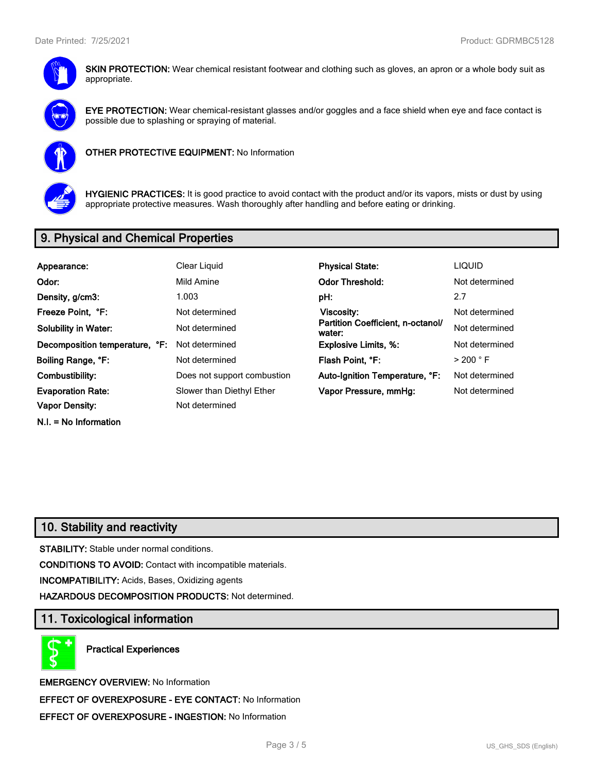

**SKIN PROTECTION:** Wear chemical resistant footwear and clothing such as gloves, an apron or a whole body suit as appropriate.



**EYE PROTECTION:** Wear chemical-resistant glasses and/or goggles and a face shield when eye and face contact is possible due to splashing or spraying of material.



**OTHER PROTECTIVE EQUIPMENT:** No Information



**HYGIENIC PRACTICES:** It is good practice to avoid contact with the product and/or its vapors, mists or dust by using appropriate protective measures. Wash thoroughly after handling and before eating or drinking.

## **9. Physical and Chemical Properties**

| Appearance:                    | Clear Liquid                | <b>Physical State:</b>                      | <b>LIQUID</b>        |
|--------------------------------|-----------------------------|---------------------------------------------|----------------------|
| Odor:                          | Mild Amine                  | <b>Odor Threshold:</b>                      | Not determined       |
| Density, g/cm3:                | 1.003                       | pH:                                         | 2.7                  |
| Freeze Point, °F:              | Not determined              | Viscosity:                                  | Not determined       |
| <b>Solubility in Water:</b>    | Not determined              | Partition Coefficient, n-octanol/<br>water: | Not determined       |
| Decomposition temperature, °F: | Not determined              | <b>Explosive Limits, %:</b>                 | Not determined       |
| Boiling Range, °F:             | Not determined              | Flash Point. °F:                            | $>$ 200 $^{\circ}$ F |
| Combustibility:                | Does not support combustion | Auto-Ignition Temperature, °F:              | Not determined       |
| <b>Evaporation Rate:</b>       | Slower than Diethyl Ether   | Vapor Pressure, mmHg:                       | Not determined       |
| <b>Vapor Density:</b>          | Not determined              |                                             |                      |
| $N.I. = No$ Information        |                             |                                             |                      |

## **10. Stability and reactivity**

**STABILITY:** Stable under normal conditions.

**CONDITIONS TO AVOID:** Contact with incompatible materials.

**INCOMPATIBILITY:** Acids, Bases, Oxidizing agents

**HAZARDOUS DECOMPOSITION PRODUCTS:** Not determined.

#### **11. Toxicological information**

**Practical Experiences**

**EMERGENCY OVERVIEW:** No Information **EFFECT OF OVEREXPOSURE - EYE CONTACT:** No Information **EFFECT OF OVEREXPOSURE - INGESTION:** No Information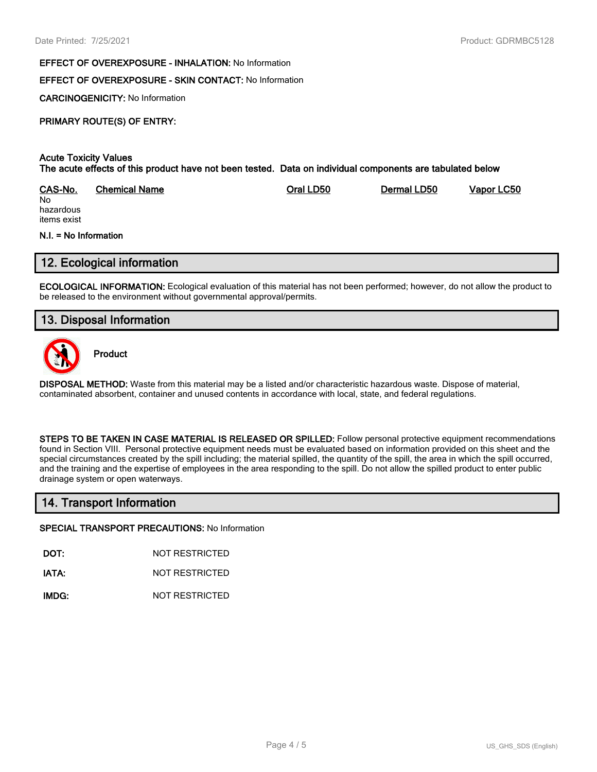#### **EFFECT OF OVEREXPOSURE - INHALATION:** No Information

#### **EFFECT OF OVEREXPOSURE - SKIN CONTACT:** No Information

**CARCINOGENICITY:** No Information

## **PRIMARY ROUTE(S) OF ENTRY:**

#### **Acute Toxicity Values The acute effects of this product have not been tested. Data on individual components are tabulated below**

| CAS-No.   | Chemical Name | Oral LD50 | Dermal LD50 | Vapor LC50 |
|-----------|---------------|-----------|-------------|------------|
| No        |               |           |             |            |
| hazardous |               |           |             |            |

hazardous items exist

#### **N.I. = No Information**

#### **12. Ecological information**

**ECOLOGICAL INFORMATION:** Ecological evaluation of this material has not been performed; however, do not allow the product to be released to the environment without governmental approval/permits.

## **13. Disposal Information**



**Product**

**DISPOSAL METHOD:** Waste from this material may be a listed and/or characteristic hazardous waste. Dispose of material, contaminated absorbent, container and unused contents in accordance with local, state, and federal regulations.

**STEPS TO BE TAKEN IN CASE MATERIAL IS RELEASED OR SPILLED:** Follow personal protective equipment recommendations found in Section VIII. Personal protective equipment needs must be evaluated based on information provided on this sheet and the special circumstances created by the spill including; the material spilled, the quantity of the spill, the area in which the spill occurred, and the training and the expertise of employees in the area responding to the spill. Do not allow the spilled product to enter public drainage system or open waterways.

## **14. Transport Information**

#### **SPECIAL TRANSPORT PRECAUTIONS:** No Information

**DOT:** NOT RESTRICTED

**IATA:** NOT RESTRICTED

**IMDG:** NOT RESTRICTED